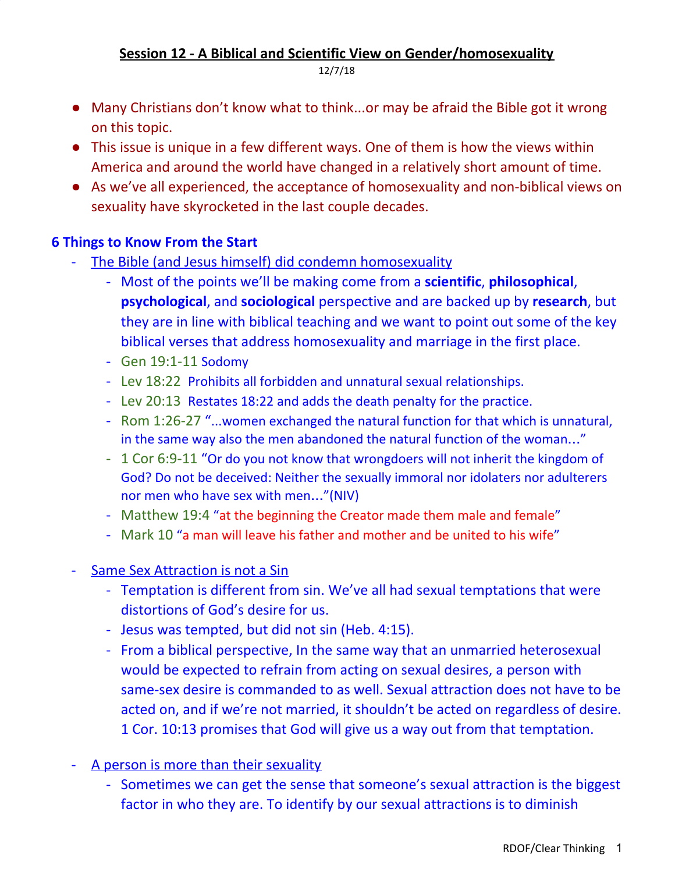# **Session 12 - A Biblical and Scientific View on Gender/homosexuality**

12/7/18

- Many Christians don't know what to think...or may be afraid the Bible got it wrong on this topic.
- This issue is unique in a few different ways. One of them is how the views within America and around the world have changed in a relatively short amount of time.
- As we've all experienced, the acceptance of homosexuality and non-biblical views on sexuality have skyrocketed in the last couple decades.

# **6 Things to Know From the Start**

- The Bible (and Jesus himself) did condemn homosexuality
	- Most of the points we'll be making come from a **scientific**, **philosophical**, **psychological**, and **sociological** perspective and are backed up by **research**, but they are in line with biblical teaching and we want to point out some of the key biblical verses that address homosexuality and marriage in the first place.
	- Gen 19:1-11 Sodomy
	- Lev 18:22 Prohibits all forbidden and unnatural sexual relationships.
	- Lev 20:13 Restates 18:22 and adds the death penalty for the practice.
	- Rom 1:26-27 "...women exchanged the natural function for that which is unnatural, in the same way also the men abandoned the natural function of the woman…"
	- 1 Cor 6:9-11 "Or do you not know that wrongdoers will not inherit the kingdom of God? Do not be deceived: Neither the sexually immoral nor idolaters nor adulterers nor men who have sex with men…"(NIV)
	- Matthew 19:4 "at the beginning the Creator made them male and female"
	- Mark 10 "a man will leave his father and mother and be united to his wife"
- Same Sex Attraction is not a Sin
	- Temptation is different from sin. We've all had sexual temptations that were distortions of God's desire for us.
	- Jesus was tempted, but did not sin (Heb. 4:15).
	- From a biblical perspective, In the same way that an unmarried heterosexual would be expected to refrain from acting on sexual desires, a person with same-sex desire is commanded to as well. Sexual attraction does not have to be acted on, and if we're not married, it shouldn't be acted on regardless of desire. 1 Cor. 10:13 promises that God will give us a way out from that temptation.
- A person is more than their sexuality
	- Sometimes we can get the sense that someone's sexual attraction is the biggest factor in who they are. To identify by our sexual attractions is to diminish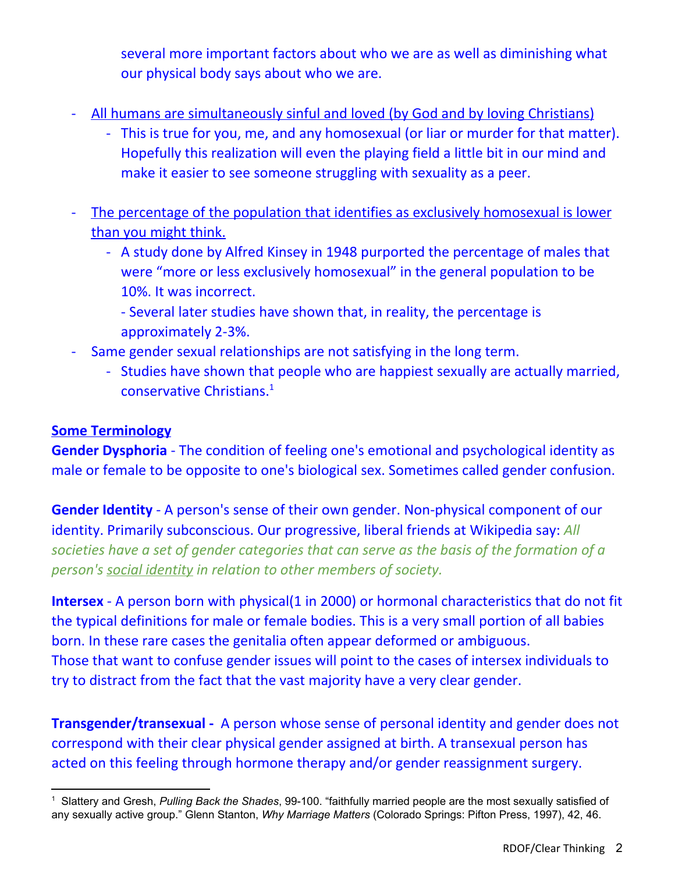several more important factors about who we are as well as diminishing what our physical body says about who we are.

- All humans are simultaneously sinful and loved (by God and by loving Christians)
	- This is true for you, me, and any homosexual (or liar or murder for that matter). Hopefully this realization will even the playing field a little bit in our mind and make it easier to see someone struggling with sexuality as a peer.
- The percentage of the population that identifies as exclusively homosexual is lower than you might think.
	- A study done by Alfred Kinsey in 1948 purported the percentage of males that were "more or less exclusively homosexual" in the general population to be 10%. It was incorrect.
		- Several later studies have shown that, in reality, the percentage is approximately 2-3%.
- Same gender sexual relationships are not satisfying in the long term.
	- Studies have shown that people who are happiest sexually are actually married, conservative Christians. 1

# **Some Terminology**

**Gender Dysphoria** - The condition of feeling one's emotional and psychological identity as male or female to be opposite to one's biological sex. Sometimes called gender confusion.

**Gender Identity** - A person's sense of their own gender. Non-physical component of our identity. Primarily subconscious. Our progressive, liberal friends at Wikipedia say: *All societies have a set of gender categories that can serve as the basis of the formation of a person's social [identity](https://en.wikipedia.org/wiki/Social_identity) in relation to other members of society.*

**Intersex** - A person born with physical(1 in 2000) or hormonal characteristics that do not fit the typical definitions for male or female bodies. This is a very small portion of all babies born. In these rare cases the genitalia often appear deformed or ambiguous. Those that want to confuse gender issues will point to the cases of intersex individuals to try to distract from the fact that the vast majority have a very clear gender.

**Transgender/transexual -** A person whose sense of personal identity and gender does not correspond with their clear physical gender assigned at birth. A transexual person has acted on this feeling through hormone therapy and/or gender reassignment surgery.

<sup>1</sup> Slattery and Gresh, *Pulling Back the Shades*, 99-100. "faithfully married people are the most sexually satisfied of any sexually active group." Glenn Stanton, *Why Marriage Matters* (Colorado Springs: Pifton Press, 1997), 42, 46.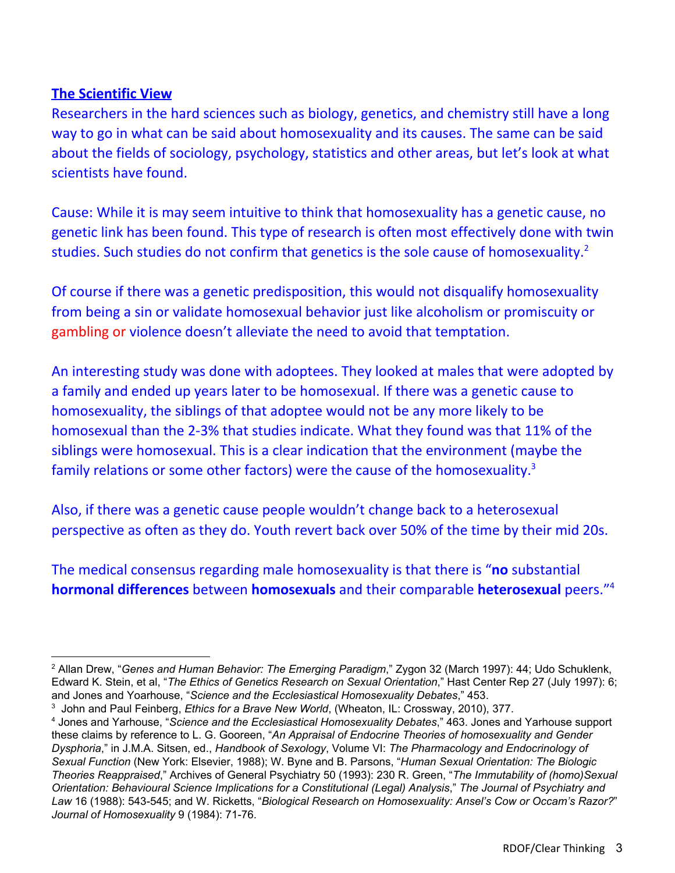### **The Scientific View**

Researchers in the hard sciences such as biology, genetics, and chemistry still have a long way to go in what can be said about homosexuality and its causes. The same can be said about the fields of sociology, psychology, statistics and other areas, but let's look at what scientists have found.

Cause: While it is may seem intuitive to think that homosexuality has a genetic cause, no genetic link has been found. This type of research is often most effectively done with twin studies. Such studies do not confirm that genetics is the sole cause of homosexuality.<sup>2</sup>

Of course if there was a genetic predisposition, this would not disqualify homosexuality from being a sin or validate homosexual behavior just like alcoholism or promiscuity or gambling or violence doesn't alleviate the need to avoid that temptation.

An interesting study was done with adoptees. They looked at males that were adopted by a family and ended up years later to be homosexual. If there was a genetic cause to homosexuality, the siblings of that adoptee would not be any more likely to be homosexual than the 2-3% that studies indicate. What they found was that 11% of the siblings were homosexual. This is a clear indication that the environment (maybe the family relations or some other factors) were the cause of the homosexuality.<sup>3</sup>

Also, if there was a genetic cause people wouldn't change back to a heterosexual perspective as often as they do. Youth revert back over 50% of the time by their mid 20s.

The medical consensus regarding male homosexuality is that there is "**no** substantial **hormonal differences** between **homosexuals** and their comparable **heterosexual** peers." 4

<sup>2</sup> Allan Drew, "*Genes and Human Behavior: The Emerging Paradigm*," Zygon 32 (March 1997): 44; Udo Schuklenk, Edward K. Stein, et al, "*The Ethics of Genetics Research on Sexual Orientation*," Hast Center Rep 27 (July 1997): 6; and Jones and Yoarhouse, "*Science and the Ecclesiastical Homosexuality Debates*," 453.

<sup>3</sup> John and Paul Feinberg, *Ethics for a Brave New World*, (Wheaton, IL: Crossway, 2010), 377.

<sup>4</sup> Jones and Yarhouse, "*Science and the Ecclesiastical Homosexuality Debates*," 463. Jones and Yarhouse support these claims by reference to L. G. Gooreen, "*An Appraisal of Endocrine Theories of homosexuality and Gender Dysphoria*," in J.M.A. Sitsen, ed., *Handbook of Sexology*, Volume VI: *The Pharmacology and Endocrinology of Sexual Function* (New York: Elsevier, 1988); W. Byne and B. Parsons, "*Human Sexual Orientation: The Biologic Theories Reappraised*," Archives of General Psychiatry 50 (1993): 230 R. Green, "*The Immutability of (homo)Sexual Orientation: Behavioural Science Implications for a Constitutional (Legal) Analysis*," *The Journal of Psychiatry and Law* 16 (1988): 543-545; and W. Ricketts, "*Biological Research on Homosexuality: Ansel's Cow or Occam's Razor?*" *Journal of Homosexuality* 9 (1984): 71-76.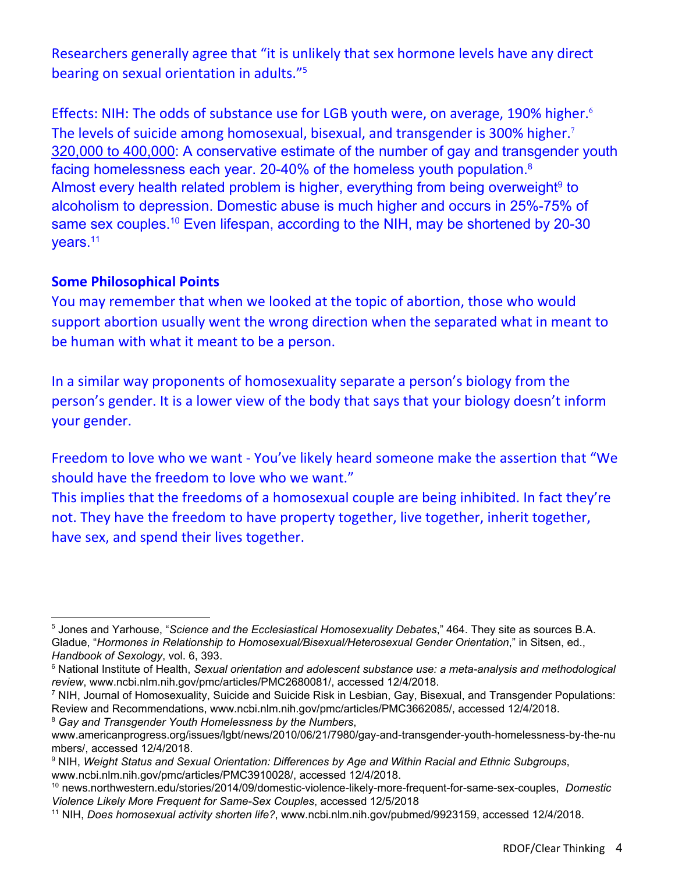Researchers generally agree that "it is unlikely that sex hormone levels have any direct bearing on sexual orientation in adults."<sup>5</sup>

Effects: NIH: The odds of substance use for LGB youth were, on average, 190% higher. 6 The levels of suicide among homosexual, bisexual, and transgender is 300% higher.<sup>7</sup> 320,000 to [400,000:](http://www.campusprogress.org/fieldreport/5163/gay-young-and-homeless) A conservative estimate of the number of gay and transgender youth facing homelessness each year. 20-40% of the homeless youth population. 8 Almost every health related problem is higher, everything from being overweight<sup>9</sup> to alcoholism to depression. Domestic abuse is much higher and occurs in 25%-75% of same sex couples.<sup>10</sup> Even lifespan, according to the NIH, may be shortened by 20-30 years.<sup>11</sup>

### **Some Philosophical Points**

You may remember that when we looked at the topic of abortion, those who would support abortion usually went the wrong direction when the separated what in meant to be human with what it meant to be a person.

In a similar way proponents of homosexuality separate a person's biology from the person's gender. It is a lower view of the body that says that your biology doesn't inform your gender.

Freedom to love who we want - You've likely heard someone make the assertion that "We should have the freedom to love who we want."

This implies that the freedoms of a homosexual couple are being inhibited. In fact they're not. They have the freedom to have property together, live together, inherit together, have sex, and spend their lives together.

<sup>7</sup> NIH, Journal of Homosexuality, Suicide and Suicide Risk in Lesbian, Gay, Bisexual, and Transgender Populations: Review and Recommendations, www.ncbi.nlm.nih.gov/pmc/articles/PMC3662085/, accessed 12/4/2018.

<sup>8</sup> *Gay and Transgender Youth Homelessness by the Numbers*,

<sup>5</sup> Jones and Yarhouse, "*Science and the Ecclesiastical Homosexuality Debates*," 464. They site as sources B.A. Gladue, "*Hormones in Relationship to Homosexual/Bisexual/Heterosexual Gender Orientation*," in Sitsen, ed., *Handbook of Sexology*, vol. 6, 393.

<sup>6</sup> National Institute of Health, *Sexual orientation and adolescent substance use: a meta-analysis and methodological review*, www.ncbi.nlm.nih.gov/pmc/articles/PMC2680081/, accessed 12/4/2018.

www.americanprogress.org/issues/lgbt/news/2010/06/21/7980/gay-and-transgender-youth-homelessness-by-the-nu mbers/, accessed 12/4/2018.

<sup>9</sup> NIH, *Weight Status and Sexual Orientation: Differences by Age and Within Racial and Ethnic Subgroups*, www.ncbi.nlm.nih.gov/pmc/articles/PMC3910028/, accessed 12/4/2018.

<sup>10</sup> news.northwestern.edu/stories/2014/09/domestic-violence-likely-more-frequent-for-same-sex-couples, *Domestic Violence Likely More Frequent for Same-Sex Couples*, accessed 12/5/2018

<sup>11</sup> NIH, *Does homosexual activity shorten life?*, www.ncbi.nlm.nih.gov/pubmed/9923159, accessed 12/4/2018.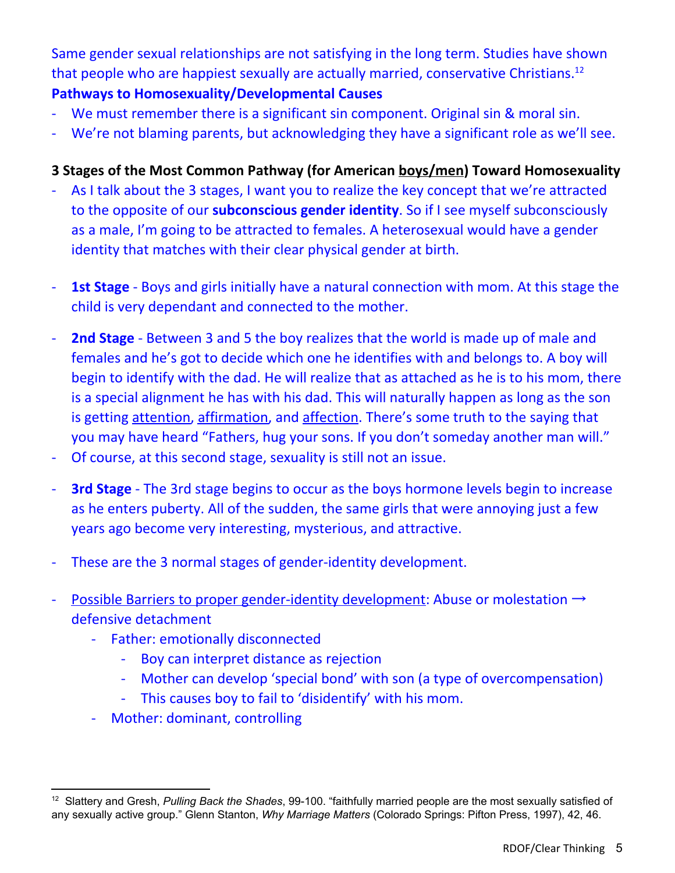Same gender sexual relationships are not satisfying in the long term. Studies have shown that people who are happiest sexually are actually married, conservative Christians.<sup>12</sup> **Pathways to Homosexuality/Developmental Causes**

- We must remember there is a significant sin component. Original sin & moral sin.
- We're not blaming parents, but acknowledging they have a significant role as we'll see.

# **3 Stages of the Most Common Pathway (for American boys/men) Toward Homosexuality**

- As I talk about the 3 stages, I want you to realize the key concept that we're attracted to the opposite of our **subconscious gender identity**. So if I see myself subconsciously as a male, I'm going to be attracted to females. A heterosexual would have a gender identity that matches with their clear physical gender at birth.
- **1st Stage** Boys and girls initially have a natural connection with mom. At this stage the child is very dependant and connected to the mother.
- **2nd Stage** Between 3 and 5 the boy realizes that the world is made up of male and females and he's got to decide which one he identifies with and belongs to. A boy will begin to identify with the dad. He will realize that as attached as he is to his mom, there is a special alignment he has with his dad. This will naturally happen as long as the son is getting attention, affirmation, and affection. There's some truth to the saying that you may have heard "Fathers, hug your sons. If you don't someday another man will."
- Of course, at this second stage, sexuality is still not an issue.
- **3rd Stage** The 3rd stage begins to occur as the boys hormone levels begin to increase as he enters puberty. All of the sudden, the same girls that were annoying just a few years ago become very interesting, mysterious, and attractive.
- These are the 3 normal stages of gender-identity development.
- Possible Barriers to proper gender-identity development: Abuse or molestation → defensive detachment
	- Father: emotionally disconnected
		- Boy can interpret distance as rejection
		- Mother can develop 'special bond' with son (a type of overcompensation)
		- This causes boy to fail to 'disidentify' with his mom.
	- Mother: dominant, controlling

<sup>12</sup> Slattery and Gresh, *Pulling Back the Shades*, 99-100. "faithfully married people are the most sexually satisfied of any sexually active group." Glenn Stanton, *Why Marriage Matters* (Colorado Springs: Pifton Press, 1997), 42, 46.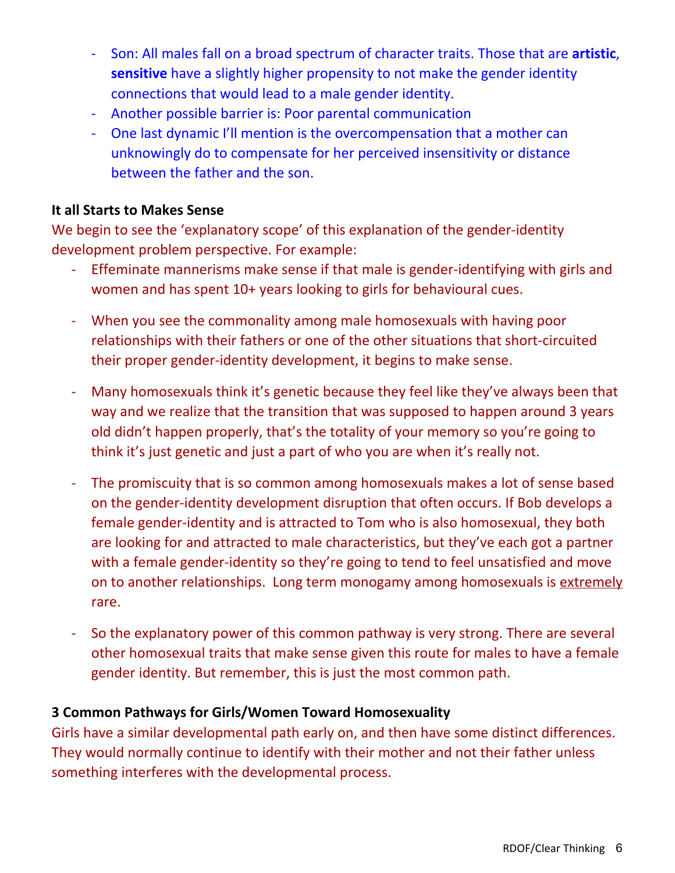- Son: All males fall on a broad spectrum of character traits. Those that are **artistic**, **sensitive** have a slightly higher propensity to not make the gender identity connections that would lead to a male gender identity.
- Another possible barrier is: Poor parental communication
- One last dynamic I'll mention is the overcompensation that a mother can unknowingly do to compensate for her perceived insensitivity or distance between the father and the son.

### **It all Starts to Makes Sense**

We begin to see the 'explanatory scope' of this explanation of the gender-identity development problem perspective. For example:

- Effeminate mannerisms make sense if that male is gender-identifying with girls and women and has spent 10+ years looking to girls for behavioural cues.
- When you see the commonality among male homosexuals with having poor relationships with their fathers or one of the other situations that short-circuited their proper gender-identity development, it begins to make sense.
- Many homosexuals think it's genetic because they feel like they've always been that way and we realize that the transition that was supposed to happen around 3 years old didn't happen properly, that's the totality of your memory so you're going to think it's just genetic and just a part of who you are when it's really not.
- The promiscuity that is so common among homosexuals makes a lot of sense based on the gender-identity development disruption that often occurs. If Bob develops a female gender-identity and is attracted to Tom who is also homosexual, they both are looking for and attracted to male characteristics, but they've each got a partner with a female gender-identity so they're going to tend to feel unsatisfied and move on to another relationships. Long term monogamy among homosexuals is extremely rare.
- So the explanatory power of this common pathway is very strong. There are several other homosexual traits that make sense given this route for males to have a female gender identity. But remember, this is just the most common path.

#### **3 Common Pathways for Girls/Women Toward Homosexuality**

Girls have a similar developmental path early on, and then have some distinct differences. They would normally continue to identify with their mother and not their father unless something interferes with the developmental process.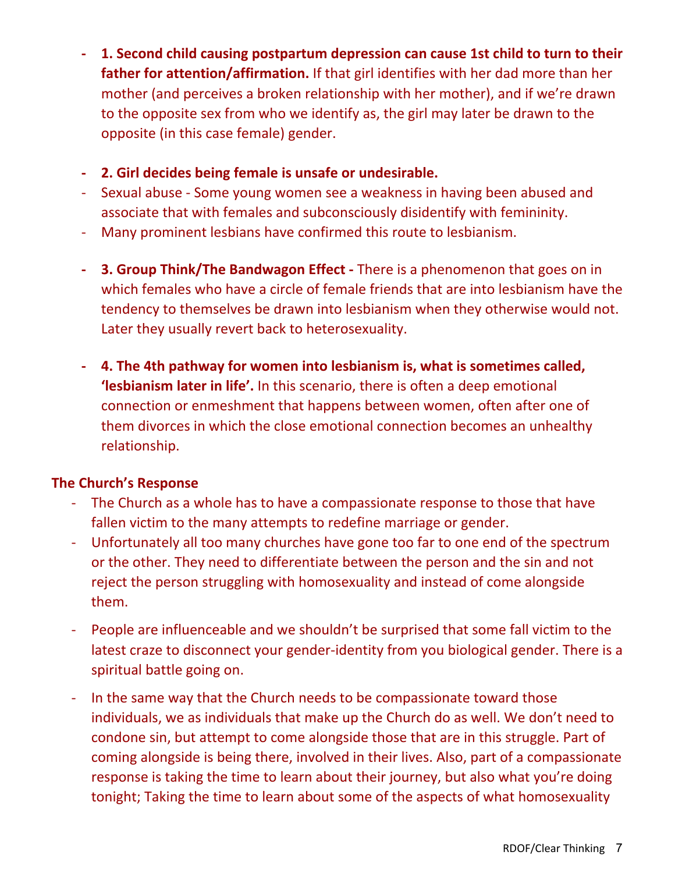- **- 1. Second child causing postpartum depression can cause 1st child to turn to their father for attention/affirmation.** If that girl identifies with her dad more than her mother (and perceives a broken relationship with her mother), and if we're drawn to the opposite sex from who we identify as, the girl may later be drawn to the opposite (in this case female) gender.
- **- 2. Girl decides being female is unsafe or undesirable.**
- Sexual abuse Some young women see a weakness in having been abused and associate that with females and subconsciously disidentify with femininity.
- Many prominent lesbians have confirmed this route to lesbianism.
- **- 3. Group Think/The Bandwagon Effect -** There is a phenomenon that goes on in which females who have a circle of female friends that are into lesbianism have the tendency to themselves be drawn into lesbianism when they otherwise would not. Later they usually revert back to heterosexuality.
- **- 4. The 4th pathway for women into lesbianism is, what is sometimes called, 'lesbianism later in life'.** In this scenario, there is often a deep emotional connection or enmeshment that happens between women, often after one of them divorces in which the close emotional connection becomes an unhealthy relationship.

## **The Church's Response**

- The Church as a whole has to have a compassionate response to those that have fallen victim to the many attempts to redefine marriage or gender.
- Unfortunately all too many churches have gone too far to one end of the spectrum or the other. They need to differentiate between the person and the sin and not reject the person struggling with homosexuality and instead of come alongside them.
- People are influenceable and we shouldn't be surprised that some fall victim to the latest craze to disconnect your gender-identity from you biological gender. There is a spiritual battle going on.
- In the same way that the Church needs to be compassionate toward those individuals, we as individuals that make up the Church do as well. We don't need to condone sin, but attempt to come alongside those that are in this struggle. Part of coming alongside is being there, involved in their lives. Also, part of a compassionate response is taking the time to learn about their journey, but also what you're doing tonight; Taking the time to learn about some of the aspects of what homosexuality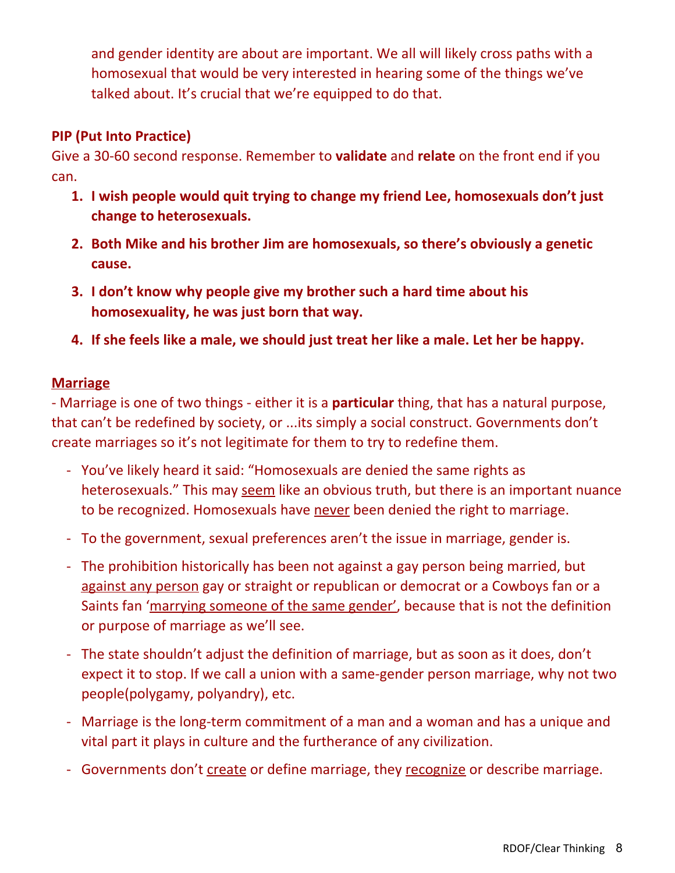and gender identity are about are important. We all will likely cross paths with a homosexual that would be very interested in hearing some of the things we've talked about. It's crucial that we're equipped to do that.

# **PIP (Put Into Practice)**

Give a 30-60 second response. Remember to **validate** and **relate** on the front end if you can.

- **1. I wish people would quit trying to change my friend Lee, homosexuals don't just change to heterosexuals.**
- **2. Both Mike and his brother Jim are homosexuals, so there's obviously a genetic cause.**
- **3. I don't know why people give my brother such a hard time about his homosexuality, he was just born that way.**
- **4. If she feels like a male, we should just treat her like a male. Let her be happy.**

### **Marriage**

- Marriage is one of two things - either it is a **particular** thing, that has a natural purpose, that can't be redefined by society, or ...its simply a social construct. Governments don't create marriages so it's not legitimate for them to try to redefine them.

- You've likely heard it said: "Homosexuals are denied the same rights as heterosexuals." This may seem like an obvious truth, but there is an important nuance to be recognized. Homosexuals have never been denied the right to marriage.
- To the government, sexual preferences aren't the issue in marriage, gender is.
- The prohibition historically has been not against a gay person being married, but against any person gay or straight or republican or democrat or a Cowboys fan or a Saints fan 'marrying someone of the same gender', because that is not the definition or purpose of marriage as we'll see.
- The state shouldn't adjust the definition of marriage, but as soon as it does, don't expect it to stop. If we call a union with a same-gender person marriage, why not two people(polygamy, polyandry), etc.
- Marriage is the long-term commitment of a man and a woman and has a unique and vital part it plays in culture and the furtherance of any civilization.
- Governments don't create or define marriage, they recognize or describe marriage.